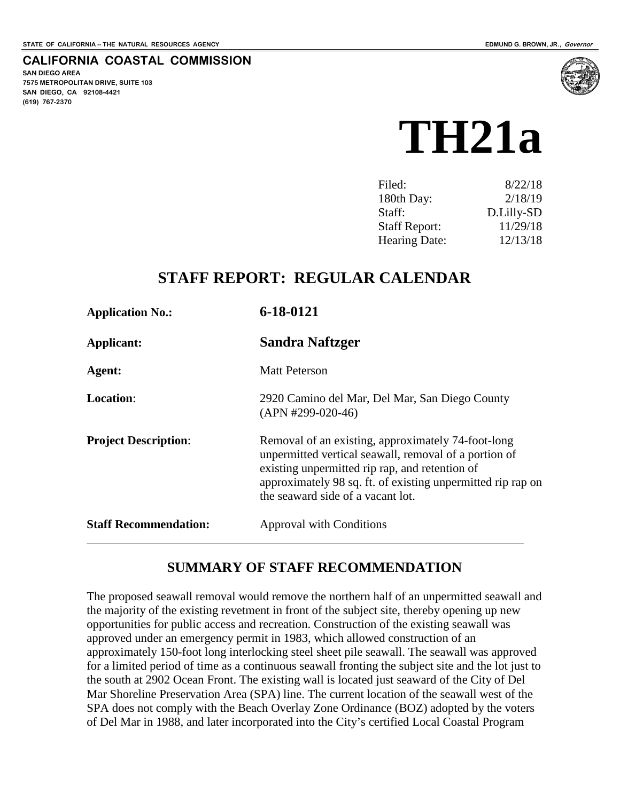#### **CALIFORNIA COASTAL COMMISSION**

**SAN DIEGO AREA 7575 METROPOLITAN DRIVE, SUITE 103 SAN DIEGO, CA 92108-4421 (619) 767-2370**



| 8/22/18    |
|------------|
| 2/18/19    |
| D.Lilly-SD |
| 11/29/18   |
| 12/13/18   |
|            |

# **STAFF REPORT: REGULAR CALENDAR**

| <b>Application No.:</b>      | 6-18-0121                                                                                                                                                                                                                                                         |
|------------------------------|-------------------------------------------------------------------------------------------------------------------------------------------------------------------------------------------------------------------------------------------------------------------|
| Applicant:                   | Sandra Naftzger                                                                                                                                                                                                                                                   |
| Agent:                       | <b>Matt Peterson</b>                                                                                                                                                                                                                                              |
| <b>Location:</b>             | 2920 Camino del Mar, Del Mar, San Diego County<br>$(APN #299-020-46)$                                                                                                                                                                                             |
| <b>Project Description:</b>  | Removal of an existing, approximately 74-foot-long<br>unpermitted vertical seawall, removal of a portion of<br>existing unpermitted rip rap, and retention of<br>approximately 98 sq. ft. of existing unpermitted rip rap on<br>the seaward side of a vacant lot. |
| <b>Staff Recommendation:</b> | Approval with Conditions                                                                                                                                                                                                                                          |

## **SUMMARY OF STAFF RECOMMENDATION**

The proposed seawall removal would remove the northern half of an unpermitted seawall and the majority of the existing revetment in front of the subject site, thereby opening up new opportunities for public access and recreation. Construction of the existing seawall was approved under an emergency permit in 1983, which allowed construction of an approximately 150-foot long interlocking steel sheet pile seawall. The seawall was approved for a limited period of time as a continuous seawall fronting the subject site and the lot just to the south at 2902 Ocean Front. The existing wall is located just seaward of the City of Del Mar Shoreline Preservation Area (SPA) line. The current location of the seawall west of the SPA does not comply with the Beach Overlay Zone Ordinance (BOZ) adopted by the voters of Del Mar in 1988, and later incorporated into the City's certified Local Coastal Program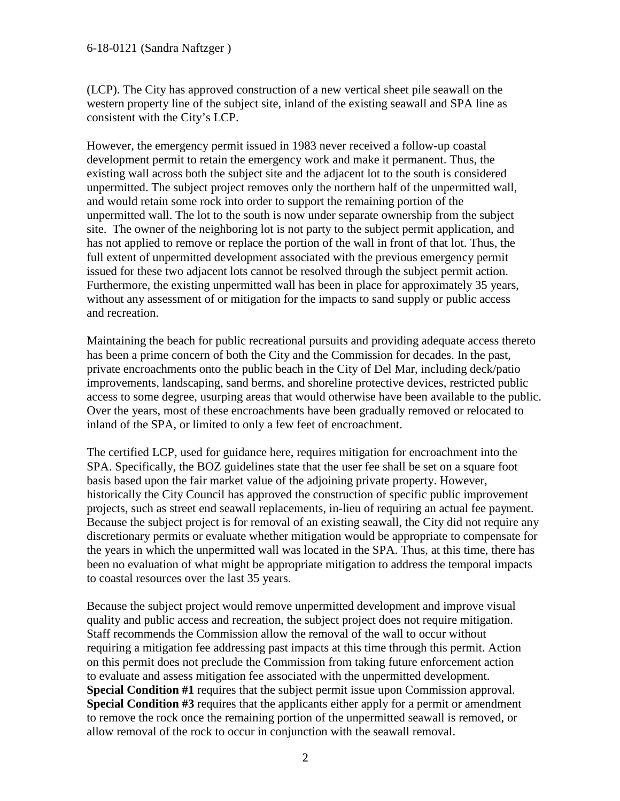#### 6-18-0121 (Sandra Naftzger )

(LCP). The City has approved construction of a new vertical sheet pile seawall on the western property line of the subject site, inland of the existing seawall and SPA line as consistent with the City's LCP.

However, the emergency permit issued in 1983 never received a follow-up coastal development permit to retain the emergency work and make it permanent. Thus, the existing wall across both the subject site and the adjacent lot to the south is considered unpermitted. The subject project removes only the northern half of the unpermitted wall, and would retain some rock into order to support the remaining portion of the unpermitted wall. The lot to the south is now under separate ownership from the subject site. The owner of the neighboring lot is not party to the subject permit application, and has not applied to remove or replace the portion of the wall in front of that lot. Thus, the full extent of unpermitted development associated with the previous emergency permit issued for these two adjacent lots cannot be resolved through the subject permit action. Furthermore, the existing unpermitted wall has been in place for approximately 35 years, without any assessment of or mitigation for the impacts to sand supply or public access and recreation.

Maintaining the beach for public recreational pursuits and providing adequate access thereto has been a prime concern of both the City and the Commission for decades. In the past, private encroachments onto the public beach in the City of Del Mar, including deck/patio improvements, landscaping, sand berms, and shoreline protective devices, restricted public access to some degree, usurping areas that would otherwise have been available to the public. Over the years, most of these encroachments have been gradually removed or relocated to inland of the SPA, or limited to only a few feet of encroachment.

The certified LCP, used for guidance here, requires mitigation for encroachment into the SPA. Specifically, the BOZ guidelines state that the user fee shall be set on a square foot basis based upon the fair market value of the adjoining private property. However, historically the City Council has approved the construction of specific public improvement projects, such as street end seawall replacements, in-lieu of requiring an actual fee payment. Because the subject project is for removal of an existing seawall, the City did not require any discretionary permits or evaluate whether mitigation would be appropriate to compensate for the years in which the unpermitted wall was located in the SPA. Thus, at this time, there has been no evaluation of what might be appropriate mitigation to address the temporal impacts to coastal resources over the last 35 years.

Because the subject project would remove unpermitted development and improve visual quality and public access and recreation, the subject project does not require mitigation. Staff recommends the Commission allow the removal of the wall to occur without requiring a mitigation fee addressing past impacts at this time through this permit. Action on this permit does not preclude the Commission from taking future enforcement action to evaluate and assess mitigation fee associated with the unpermitted development. **Special Condition #1** requires that the subject permit issue upon Commission approval. **Special Condition #3** requires that the applicants either apply for a permit or amendment to remove the rock once the remaining portion of the unpermitted seawall is removed, or allow removal of the rock to occur in conjunction with the seawall removal.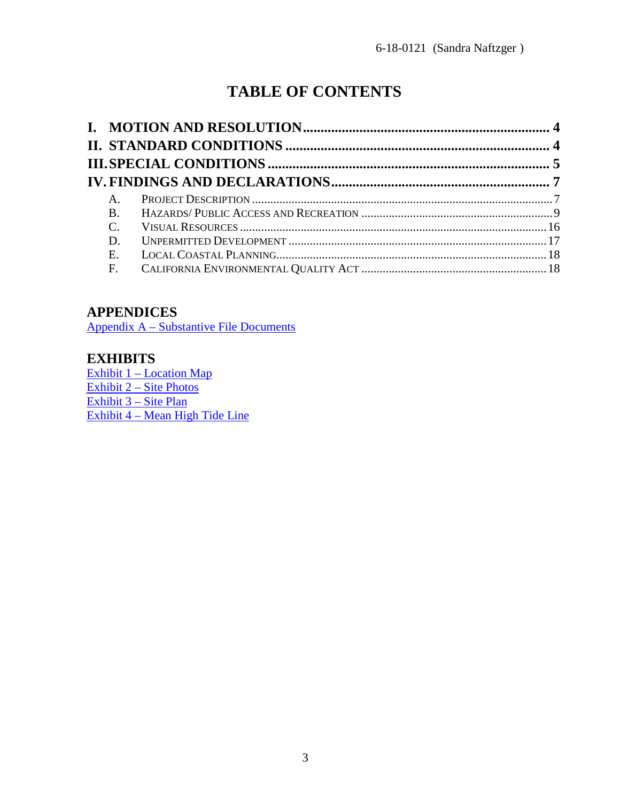# **TABLE OF CONTENTS**

| $A_{1}$      |  |
|--------------|--|
| <b>B.</b>    |  |
| $\mathsf{C}$ |  |
| D.           |  |
| Ε.           |  |
| $F_{\cdot}$  |  |

# **APPENDICES**

Appendix A – [Substantive File Documents](#page-19-0)

## **EXHIBITS**

Exhibit 1 – [Location Map](https://documents.coastal.ca.gov/reports/2018/11/TH21a/TH21a-11-2018-exhibits.pdf) Exhibit 2 – [Site Photos](https://documents.coastal.ca.gov/reports/2018/11/TH21a/TH21a-11-2018-exhibits.pdf) [Exhibit 3 –](https://documents.coastal.ca.gov/reports/2018/11/TH21a/TH21a-11-2018-exhibits.pdf) Site Plan Exhibit 4 – [Mean High Tide Line](https://documents.coastal.ca.gov/reports/2018/11/TH21a/TH21a-11-2018-exhibits.pdf)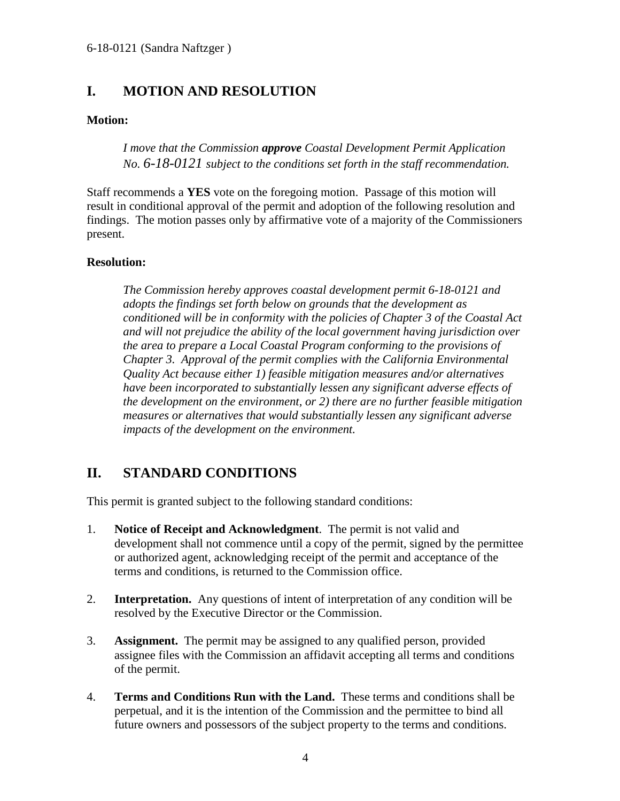# <span id="page-3-0"></span>**I. MOTION AND RESOLUTION**

#### **Motion:**

*I move that the Commission approve Coastal Development Permit Application No. 6-18-0121 subject to the conditions set forth in the staff recommendation.*

Staff recommends a **YES** vote on the foregoing motion. Passage of this motion will result in conditional approval of the permit and adoption of the following resolution and findings. The motion passes only by affirmative vote of a majority of the Commissioners present.

#### **Resolution:**

*The Commission hereby approves coastal development permit 6-18-0121 and adopts the findings set forth below on grounds that the development as conditioned will be in conformity with the policies of Chapter 3 of the Coastal Act and will not prejudice the ability of the local government having jurisdiction over the area to prepare a Local Coastal Program conforming to the provisions of Chapter 3. Approval of the permit complies with the California Environmental Quality Act because either 1) feasible mitigation measures and/or alternatives have been incorporated to substantially lessen any significant adverse effects of the development on the environment, or 2) there are no further feasible mitigation measures or alternatives that would substantially lessen any significant adverse impacts of the development on the environment.*

# <span id="page-3-1"></span>**II. STANDARD CONDITIONS**

This permit is granted subject to the following standard conditions:

- 1. **Notice of Receipt and Acknowledgment**. The permit is not valid and development shall not commence until a copy of the permit, signed by the permittee or authorized agent, acknowledging receipt of the permit and acceptance of the terms and conditions, is returned to the Commission office.
- 2. **Interpretation.** Any questions of intent of interpretation of any condition will be resolved by the Executive Director or the Commission.
- 3. **Assignment.** The permit may be assigned to any qualified person, provided assignee files with the Commission an affidavit accepting all terms and conditions of the permit.
- 4. **Terms and Conditions Run with the Land.** These terms and conditions shall be perpetual, and it is the intention of the Commission and the permittee to bind all future owners and possessors of the subject property to the terms and conditions.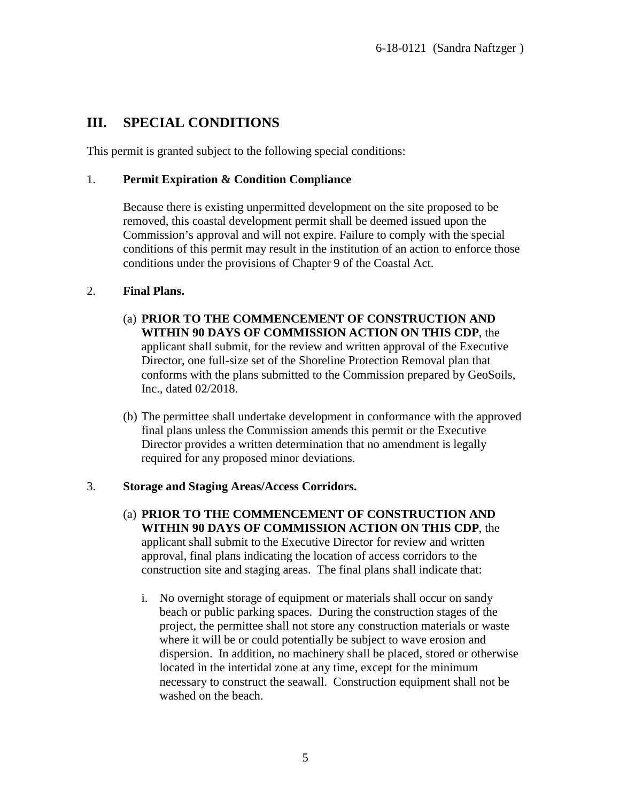# <span id="page-4-0"></span>**III. SPECIAL CONDITIONS**

This permit is granted subject to the following special conditions:

#### 1. **Permit Expiration & Condition Compliance**

Because there is existing unpermitted development on the site proposed to be removed, this coastal development permit shall be deemed issued upon the Commission's approval and will not expire. Failure to comply with the special conditions of this permit may result in the institution of an action to enforce those conditions under the provisions of Chapter 9 of the Coastal Act.

#### 2. **Final Plans.**

- (a) **PRIOR TO THE COMMENCEMENT OF CONSTRUCTION AND WITHIN 90 DAYS OF COMMISSION ACTION ON THIS CDP**, the applicant shall submit, for the review and written approval of the Executive Director, one full-size set of the Shoreline Protection Removal plan that conforms with the plans submitted to the Commission prepared by GeoSoils, Inc., dated 02/2018.
- (b) The permittee shall undertake development in conformance with the approved final plans unless the Commission amends this permit or the Executive Director provides a written determination that no amendment is legally required for any proposed minor deviations.

### 3. **Storage and Staging Areas/Access Corridors.**

- (a) **PRIOR TO THE COMMENCEMENT OF CONSTRUCTION AND WITHIN 90 DAYS OF COMMISSION ACTION ON THIS CDP**, the applicant shall submit to the Executive Director for review and written approval, final plans indicating the location of access corridors to the construction site and staging areas. The final plans shall indicate that:
	- i. No overnight storage of equipment or materials shall occur on sandy beach or public parking spaces. During the construction stages of the project, the permittee shall not store any construction materials or waste where it will be or could potentially be subject to wave erosion and dispersion. In addition, no machinery shall be placed, stored or otherwise located in the intertidal zone at any time, except for the minimum necessary to construct the seawall. Construction equipment shall not be washed on the beach.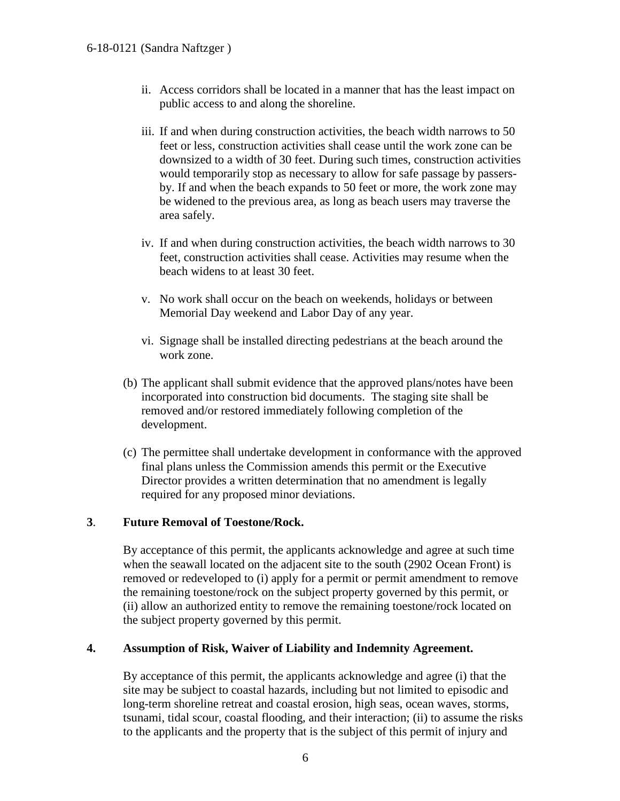- ii. Access corridors shall be located in a manner that has the least impact on public access to and along the shoreline.
- iii. If and when during construction activities, the beach width narrows to 50 feet or less, construction activities shall cease until the work zone can be downsized to a width of 30 feet. During such times, construction activities would temporarily stop as necessary to allow for safe passage by passersby. If and when the beach expands to 50 feet or more, the work zone may be widened to the previous area, as long as beach users may traverse the area safely.
- iv. If and when during construction activities, the beach width narrows to 30 feet, construction activities shall cease. Activities may resume when the beach widens to at least 30 feet.
- v. No work shall occur on the beach on weekends, holidays or between Memorial Day weekend and Labor Day of any year.
- vi. Signage shall be installed directing pedestrians at the beach around the work zone.
- (b) The applicant shall submit evidence that the approved plans/notes have been incorporated into construction bid documents. The staging site shall be removed and/or restored immediately following completion of the development.
- (c) The permittee shall undertake development in conformance with the approved final plans unless the Commission amends this permit or the Executive Director provides a written determination that no amendment is legally required for any proposed minor deviations.

### **3**. **Future Removal of Toestone/Rock.**

By acceptance of this permit, the applicants acknowledge and agree at such time when the seawall located on the adjacent site to the south (2902 Ocean Front) is removed or redeveloped to (i) apply for a permit or permit amendment to remove the remaining toestone/rock on the subject property governed by this permit, or (ii) allow an authorized entity to remove the remaining toestone/rock located on the subject property governed by this permit.

### **4. Assumption of Risk, Waiver of Liability and Indemnity Agreement.**

By acceptance of this permit, the applicants acknowledge and agree (i) that the site may be subject to coastal hazards, including but not limited to episodic and long-term shoreline retreat and coastal erosion, high seas, ocean waves, storms, tsunami, tidal scour, coastal flooding, and their interaction; (ii) to assume the risks to the applicants and the property that is the subject of this permit of injury and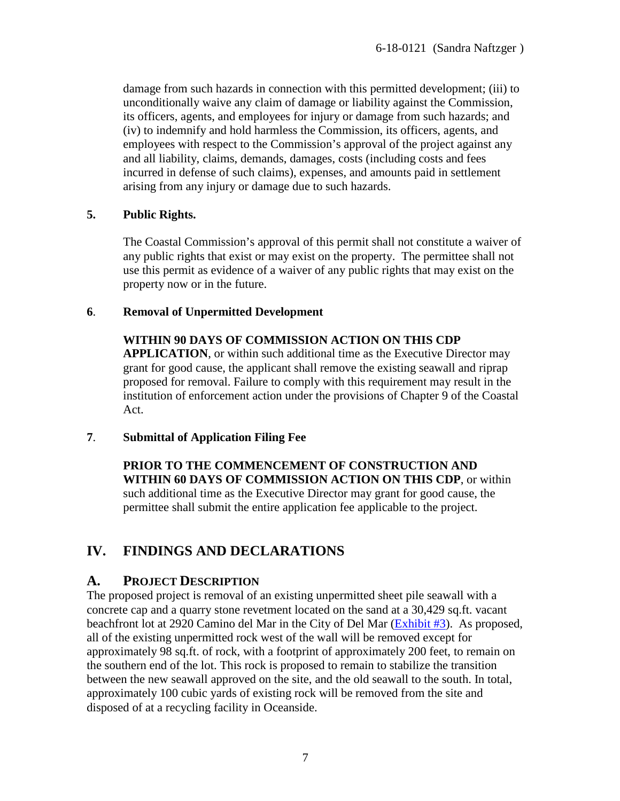damage from such hazards in connection with this permitted development; (iii) to unconditionally waive any claim of damage or liability against the Commission, its officers, agents, and employees for injury or damage from such hazards; and (iv) to indemnify and hold harmless the Commission, its officers, agents, and employees with respect to the Commission's approval of the project against any and all liability, claims, demands, damages, costs (including costs and fees incurred in defense of such claims), expenses, and amounts paid in settlement arising from any injury or damage due to such hazards.

## **5. Public Rights.**

The Coastal Commission's approval of this permit shall not constitute a waiver of any public rights that exist or may exist on the property. The permittee shall not use this permit as evidence of a waiver of any public rights that may exist on the property now or in the future.

## **6**. **Removal of Unpermitted Development**

## **WITHIN 90 DAYS OF COMMISSION ACTION ON THIS CDP**

**APPLICATION**, or within such additional time as the Executive Director may grant for good cause, the applicant shall remove the existing seawall and riprap proposed for removal. Failure to comply with this requirement may result in the institution of enforcement action under the provisions of Chapter 9 of the Coastal Act.

### **7**. **Submittal of Application Filing Fee**

**PRIOR TO THE COMMENCEMENT OF CONSTRUCTION AND WITHIN 60 DAYS OF COMMISSION ACTION ON THIS CDP**, or within such additional time as the Executive Director may grant for good cause, the permittee shall submit the entire application fee applicable to the project.

# <span id="page-6-0"></span>**IV. FINDINGS AND DECLARATIONS**

## <span id="page-6-1"></span>**A. PROJECT DESCRIPTION**

The proposed project is removal of an existing unpermitted sheet pile seawall with a concrete cap and a quarry stone revetment located on the sand at a 30,429 sq.ft. vacant beachfront lot at 2920 Camino del Mar in the City of Del Mar [\(Exhibit #3\)](https://documents.coastal.ca.gov/reports/2018/11/TH21a/TH21a-11-2018-exhibits.pdf). As proposed, all of the existing unpermitted rock west of the wall will be removed except for approximately 98 sq.ft. of rock, with a footprint of approximately 200 feet, to remain on the southern end of the lot. This rock is proposed to remain to stabilize the transition between the new seawall approved on the site, and the old seawall to the south. In total, approximately 100 cubic yards of existing rock will be removed from the site and disposed of at a recycling facility in Oceanside.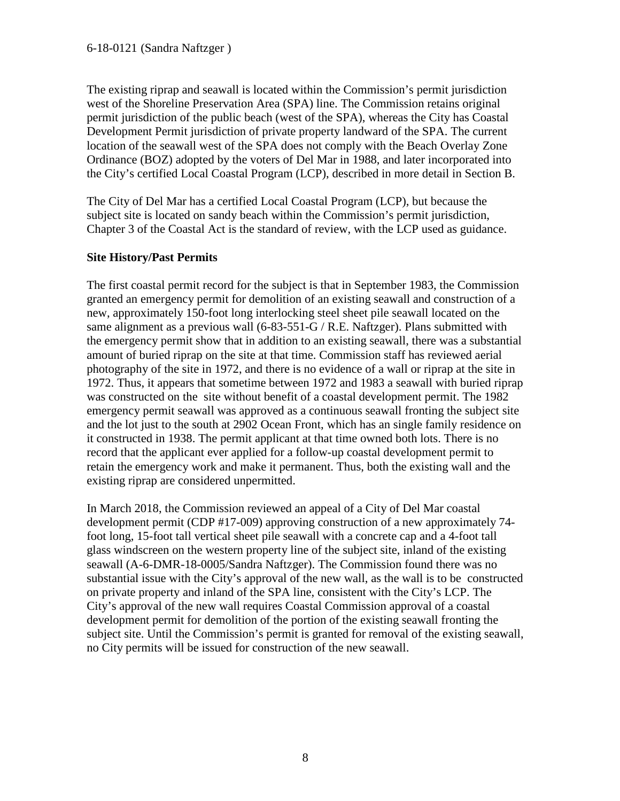The existing riprap and seawall is located within the Commission's permit jurisdiction west of the Shoreline Preservation Area (SPA) line. The Commission retains original permit jurisdiction of the public beach (west of the SPA), whereas the City has Coastal Development Permit jurisdiction of private property landward of the SPA. The current location of the seawall west of the SPA does not comply with the Beach Overlay Zone Ordinance (BOZ) adopted by the voters of Del Mar in 1988, and later incorporated into the City's certified Local Coastal Program (LCP), described in more detail in Section B.

The City of Del Mar has a certified Local Coastal Program (LCP), but because the subject site is located on sandy beach within the Commission's permit jurisdiction, Chapter 3 of the Coastal Act is the standard of review, with the LCP used as guidance.

### **Site History/Past Permits**

The first coastal permit record for the subject is that in September 1983, the Commission granted an emergency permit for demolition of an existing seawall and construction of a new, approximately 150-foot long interlocking steel sheet pile seawall located on the same alignment as a previous wall (6-83-551-G / R.E. Naftzger). Plans submitted with the emergency permit show that in addition to an existing seawall, there was a substantial amount of buried riprap on the site at that time. Commission staff has reviewed aerial photography of the site in 1972, and there is no evidence of a wall or riprap at the site in 1972. Thus, it appears that sometime between 1972 and 1983 a seawall with buried riprap was constructed on the site without benefit of a coastal development permit. The 1982 emergency permit seawall was approved as a continuous seawall fronting the subject site and the lot just to the south at 2902 Ocean Front, which has an single family residence on it constructed in 1938. The permit applicant at that time owned both lots. There is no record that the applicant ever applied for a follow-up coastal development permit to retain the emergency work and make it permanent. Thus, both the existing wall and the existing riprap are considered unpermitted.

<span id="page-7-0"></span>In March 2018, the Commission reviewed an appeal of a City of Del Mar coastal development permit (CDP #17-009) approving construction of a new approximately 74 foot long, 15-foot tall vertical sheet pile seawall with a concrete cap and a 4-foot tall glass windscreen on the western property line of the subject site, inland of the existing seawall (A-6-DMR-18-0005/Sandra Naftzger). The Commission found there was no substantial issue with the City's approval of the new wall, as the wall is to be constructed on private property and inland of the SPA line, consistent with the City's LCP. The City's approval of the new wall requires Coastal Commission approval of a coastal development permit for demolition of the portion of the existing seawall fronting the subject site. Until the Commission's permit is granted for removal of the existing seawall, no City permits will be issued for construction of the new seawall.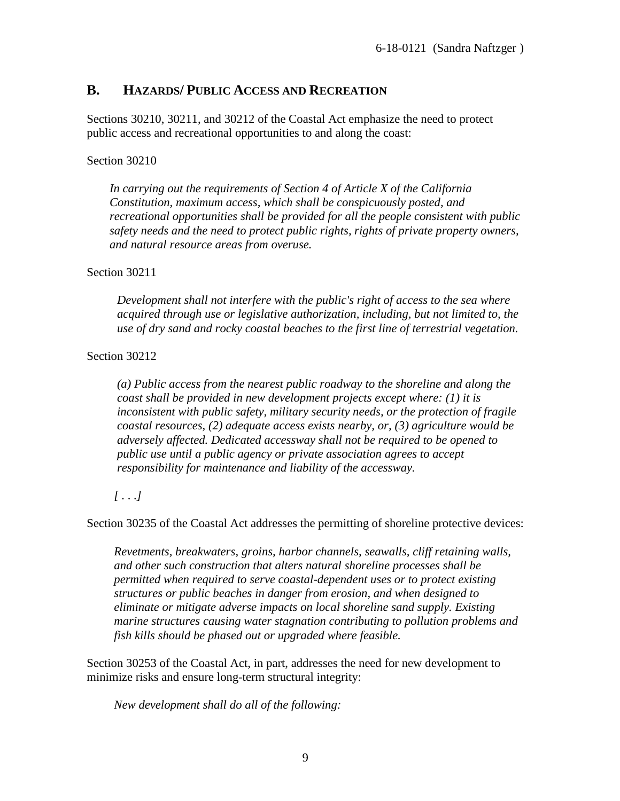## **B. HAZARDS/ PUBLIC ACCESS AND RECREATION**

Sections 30210, 30211, and 30212 of the Coastal Act emphasize the need to protect public access and recreational opportunities to and along the coast:

#### Section 30210

*In carrying out the requirements of Section 4 of Article X of the California Constitution, maximum access, which shall be conspicuously posted, and recreational opportunities shall be provided for all the people consistent with public safety needs and the need to protect public rights, rights of private property owners, and natural resource areas from overuse.*

### Section 30211

*Development shall not interfere with the public's right of access to the sea where acquired through use or legislative authorization, including, but not limited to, the use of dry sand and rocky coastal beaches to the first line of terrestrial vegetation.*

### Section 30212

*(a) Public access from the nearest public roadway to the shoreline and along the coast shall be provided in new development projects except where: (1) it is inconsistent with public safety, military security needs, or the protection of fragile coastal resources, (2) adequate access exists nearby, or, (3) agriculture would be adversely affected. Dedicated accessway shall not be required to be opened to public use until a public agency or private association agrees to accept responsibility for maintenance and liability of the accessway.*

### *[ . . .]*

Section 30235 of the Coastal Act addresses the permitting of shoreline protective devices:

*Revetments, breakwaters, groins, harbor channels, seawalls, cliff retaining walls, and other such construction that alters natural shoreline processes shall be permitted when required to serve coastal-dependent uses or to protect existing structures or public beaches in danger from erosion, and when designed to eliminate or mitigate adverse impacts on local shoreline sand supply. Existing marine structures causing water stagnation contributing to pollution problems and fish kills should be phased out or upgraded where feasible.*

Section 30253 of the Coastal Act, in part, addresses the need for new development to minimize risks and ensure long-term structural integrity:

*New development shall do all of the following:*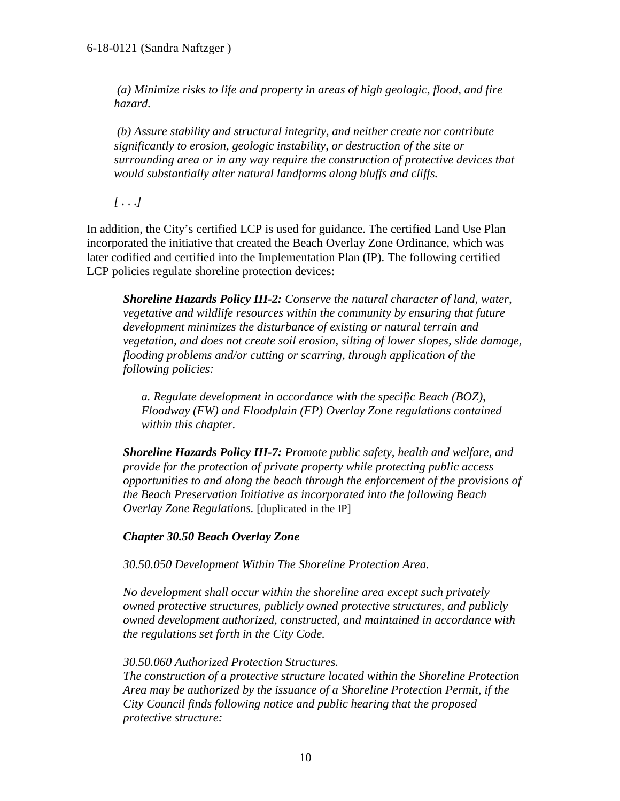*(a) Minimize risks to life and property in areas of high geologic, flood, and fire hazard.*

*(b) Assure stability and structural integrity, and neither create nor contribute significantly to erosion, geologic instability, or destruction of the site or surrounding area or in any way require the construction of protective devices that would substantially alter natural landforms along bluffs and cliffs.*

*[ . . .]*

In addition, the City's certified LCP is used for guidance. The certified Land Use Plan incorporated the initiative that created the Beach Overlay Zone Ordinance, which was later codified and certified into the Implementation Plan (IP). The following certified LCP policies regulate shoreline protection devices:

*Shoreline Hazards Policy III-2: Conserve the natural character of land, water, vegetative and wildlife resources within the community by ensuring that future development minimizes the disturbance of existing or natural terrain and vegetation, and does not create soil erosion, silting of lower slopes, slide damage, flooding problems and/or cutting or scarring, through application of the following policies:*

*a. Regulate development in accordance with the specific Beach (BOZ), Floodway (FW) and Floodplain (FP) Overlay Zone regulations contained within this chapter.*

*Shoreline Hazards Policy III-7: Promote public safety, health and welfare, and provide for the protection of private property while protecting public access opportunities to and along the beach through the enforcement of the provisions of the Beach Preservation Initiative as incorporated into the following Beach Overlay Zone Regulations.* [duplicated in the IP]

*Chapter 30.50 Beach Overlay Zone*

*30.50.050 Development Within The Shoreline Protection Area.* 

*No development shall occur within the shoreline area except such privately owned protective structures, publicly owned protective structures, and publicly owned development authorized, constructed, and maintained in accordance with the regulations set forth in the City Code.* 

### *30.50.060 Authorized Protection Structures.*

*The construction of a protective structure located within the Shoreline Protection Area may be authorized by the issuance of a Shoreline Protection Permit, if the City Council finds following notice and public hearing that the proposed protective structure:*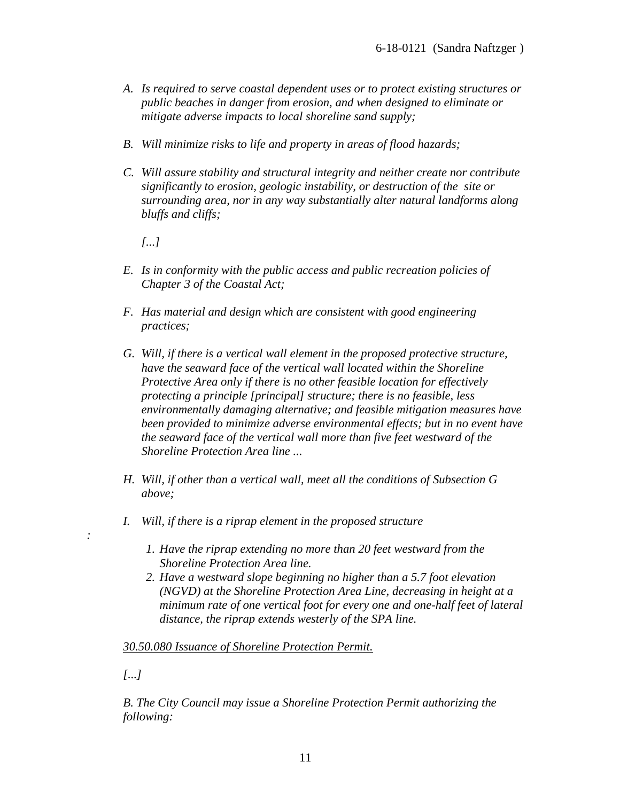- *A. Is required to serve coastal dependent uses or to protect existing structures or public beaches in danger from erosion, and when designed to eliminate or mitigate adverse impacts to local shoreline sand supply;*
- *B. Will minimize risks to life and property in areas of flood hazards;*
- *C. Will assure stability and structural integrity and neither create nor contribute significantly to erosion, geologic instability, or destruction of the site or surrounding area, nor in any way substantially alter natural landforms along bluffs and cliffs;*

*[...]* 

- *E. Is in conformity with the public access and public recreation policies of Chapter 3 of the Coastal Act;*
- *F. Has material and design which are consistent with good engineering practices;*
- *G. Will, if there is a vertical wall element in the proposed protective structure, have the seaward face of the vertical wall located within the Shoreline Protective Area only if there is no other feasible location for effectively protecting a principle [principal] structure; there is no feasible, less environmentally damaging alternative; and feasible mitigation measures have been provided to minimize adverse environmental effects; but in no event have the seaward face of the vertical wall more than five feet westward of the Shoreline Protection Area line ...*
- *H. Will, if other than a vertical wall, meet all the conditions of Subsection G above;*
- *I. Will, if there is a riprap element in the proposed structure*
	- *1. Have the riprap extending no more than 20 feet westward from the Shoreline Protection Area line.*
	- *2. Have a westward slope beginning no higher than a 5.7 foot elevation (NGVD) at the Shoreline Protection Area Line, decreasing in height at a minimum rate of one vertical foot for every one and one-half feet of lateral distance, the riprap extends westerly of the SPA line.*

#### *30.50.080 Issuance of Shoreline Protection Permit.*

*[...]* 

*:* 

*B. The City Council may issue a Shoreline Protection Permit authorizing the following:*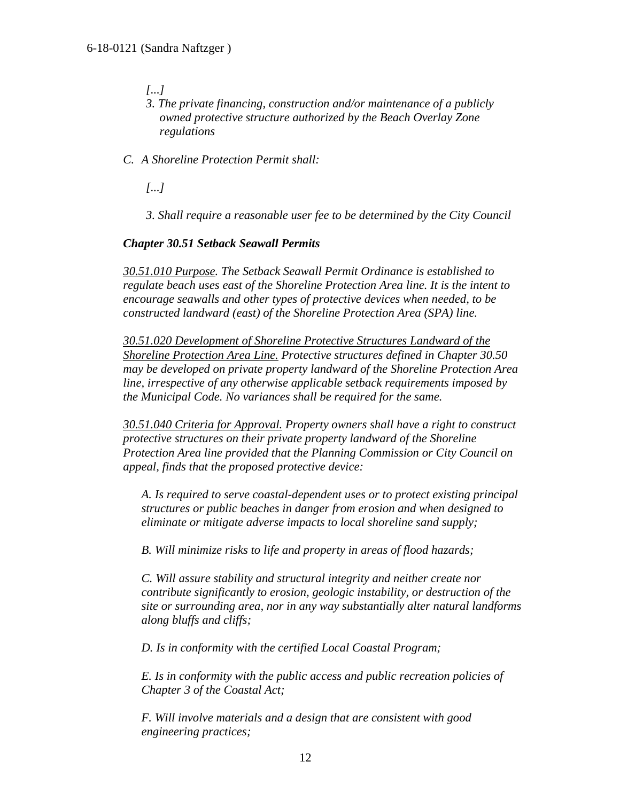- *[...]*
- *3. The private financing, construction and/or maintenance of a publicly owned protective structure authorized by the Beach Overlay Zone regulations*
- *C. A Shoreline Protection Permit shall:*
	- *[...]*
	- *3. Shall require a reasonable user fee to be determined by the City Council*

#### *Chapter 30.51 Setback Seawall Permits*

*30.51.010 Purpose. The Setback Seawall Permit Ordinance is established to regulate beach uses east of the Shoreline Protection Area line. It is the intent to encourage seawalls and other types of protective devices when needed, to be constructed landward (east) of the Shoreline Protection Area (SPA) line.*

*30.51.020 Development of Shoreline Protective Structures Landward of the Shoreline Protection Area Line. Protective structures defined in Chapter 30.50 may be developed on private property landward of the Shoreline Protection Area line, irrespective of any otherwise applicable setback requirements imposed by the Municipal Code. No variances shall be required for the same.*

*30.51.040 Criteria for Approval. Property owners shall have a right to construct protective structures on their private property landward of the Shoreline Protection Area line provided that the Planning Commission or City Council on appeal, finds that the proposed protective device:*

*A. Is required to serve coastal-dependent uses or to protect existing principal structures or public beaches in danger from erosion and when designed to eliminate or mitigate adverse impacts to local shoreline sand supply;*

*B. Will minimize risks to life and property in areas of flood hazards;* 

*C. Will assure stability and structural integrity and neither create nor contribute significantly to erosion, geologic instability, or destruction of the site or surrounding area, nor in any way substantially alter natural landforms along bluffs and cliffs;*

*D. Is in conformity with the certified Local Coastal Program;*

*E. Is in conformity with the public access and public recreation policies of Chapter 3 of the Coastal Act;*

*F. Will involve materials and a design that are consistent with good engineering practices;*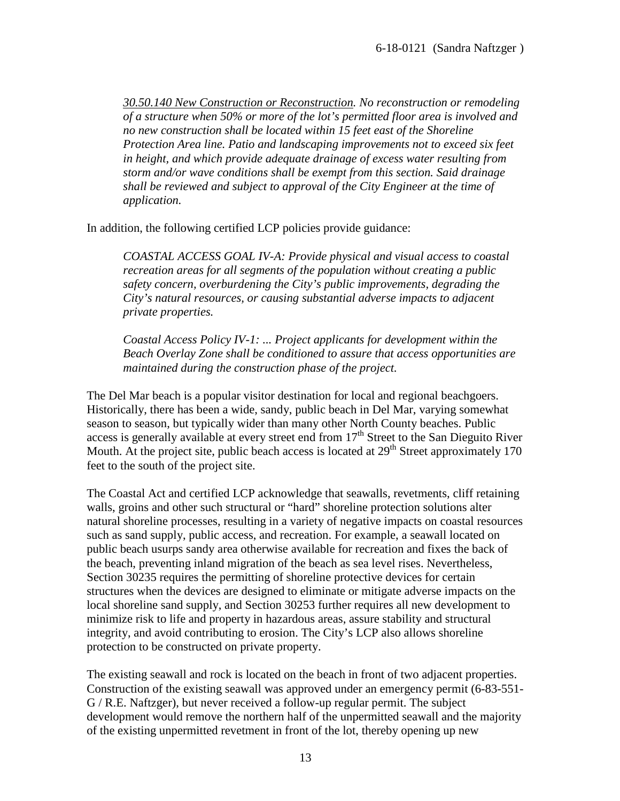*30.50.140 New Construction or Reconstruction. No reconstruction or remodeling of a structure when 50% or more of the lot's permitted floor area is involved and no new construction shall be located within 15 feet east of the Shoreline Protection Area line. Patio and landscaping improvements not to exceed six feet in height, and which provide adequate drainage of excess water resulting from storm and/or wave conditions shall be exempt from this section. Said drainage shall be reviewed and subject to approval of the City Engineer at the time of application.*

In addition, the following certified LCP policies provide guidance:

*COASTAL ACCESS GOAL IV-A: Provide physical and visual access to coastal recreation areas for all segments of the population without creating a public safety concern, overburdening the City's public improvements, degrading the City's natural resources, or causing substantial adverse impacts to adjacent private properties.*

*Coastal Access Policy IV-1: ... Project applicants for development within the Beach Overlay Zone shall be conditioned to assure that access opportunities are maintained during the construction phase of the project.*

The Del Mar beach is a popular visitor destination for local and regional beachgoers. Historically, there has been a wide, sandy, public beach in Del Mar, varying somewhat season to season, but typically wider than many other North County beaches. Public access is generally available at every street end from 17<sup>th</sup> Street to the San Dieguito River Mouth. At the project site, public beach access is located at  $29<sup>th</sup>$  Street approximately 170 feet to the south of the project site.

The Coastal Act and certified LCP acknowledge that seawalls, revetments, cliff retaining walls, groins and other such structural or "hard" shoreline protection solutions alter natural shoreline processes, resulting in a variety of negative impacts on coastal resources such as sand supply, public access, and recreation. For example, a seawall located on public beach usurps sandy area otherwise available for recreation and fixes the back of the beach, preventing inland migration of the beach as sea level rises. Nevertheless, Section 30235 requires the permitting of shoreline protective devices for certain structures when the devices are designed to eliminate or mitigate adverse impacts on the local shoreline sand supply, and Section 30253 further requires all new development to minimize risk to life and property in hazardous areas, assure stability and structural integrity, and avoid contributing to erosion. The City's LCP also allows shoreline protection to be constructed on private property.

The existing seawall and rock is located on the beach in front of two adjacent properties. Construction of the existing seawall was approved under an emergency permit (6-83-551- G / R.E. Naftzger), but never received a follow-up regular permit. The subject development would remove the northern half of the unpermitted seawall and the majority of the existing unpermitted revetment in front of the lot, thereby opening up new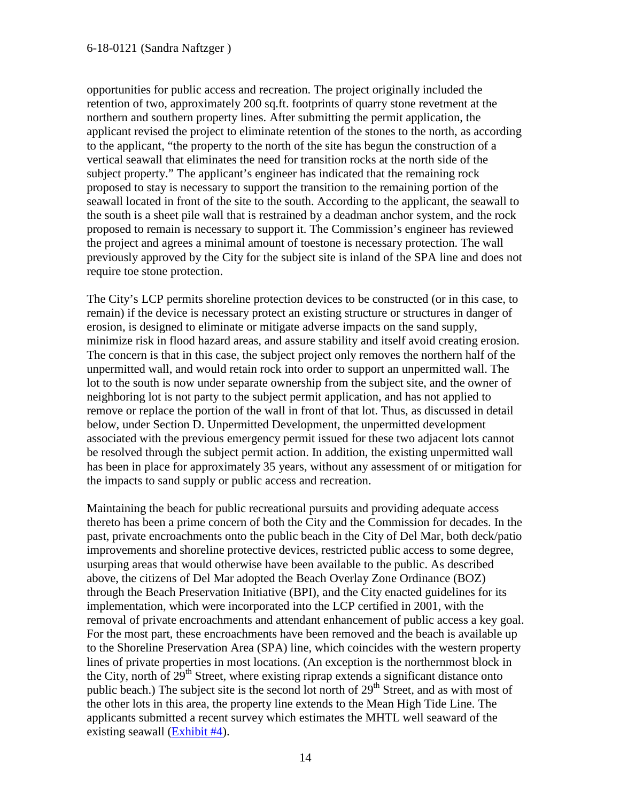opportunities for public access and recreation. The project originally included the retention of two, approximately 200 sq.ft. footprints of quarry stone revetment at the northern and southern property lines. After submitting the permit application, the applicant revised the project to eliminate retention of the stones to the north, as according to the applicant, "the property to the north of the site has begun the construction of a vertical seawall that eliminates the need for transition rocks at the north side of the subject property." The applicant's engineer has indicated that the remaining rock proposed to stay is necessary to support the transition to the remaining portion of the seawall located in front of the site to the south. According to the applicant, the seawall to the south is a sheet pile wall that is restrained by a deadman anchor system, and the rock proposed to remain is necessary to support it. The Commission's engineer has reviewed the project and agrees a minimal amount of toestone is necessary protection. The wall previously approved by the City for the subject site is inland of the SPA line and does not require toe stone protection.

The City's LCP permits shoreline protection devices to be constructed (or in this case, to remain) if the device is necessary protect an existing structure or structures in danger of erosion, is designed to eliminate or mitigate adverse impacts on the sand supply, minimize risk in flood hazard areas, and assure stability and itself avoid creating erosion. The concern is that in this case, the subject project only removes the northern half of the unpermitted wall, and would retain rock into order to support an unpermitted wall. The lot to the south is now under separate ownership from the subject site, and the owner of neighboring lot is not party to the subject permit application, and has not applied to remove or replace the portion of the wall in front of that lot. Thus, as discussed in detail below, under Section D. Unpermitted Development, the unpermitted development associated with the previous emergency permit issued for these two adjacent lots cannot be resolved through the subject permit action. In addition, the existing unpermitted wall has been in place for approximately 35 years, without any assessment of or mitigation for the impacts to sand supply or public access and recreation.

Maintaining the beach for public recreational pursuits and providing adequate access thereto has been a prime concern of both the City and the Commission for decades. In the past, private encroachments onto the public beach in the City of Del Mar, both deck/patio improvements and shoreline protective devices, restricted public access to some degree, usurping areas that would otherwise have been available to the public. As described above, the citizens of Del Mar adopted the Beach Overlay Zone Ordinance (BOZ) through the Beach Preservation Initiative (BPI), and the City enacted guidelines for its implementation, which were incorporated into the LCP certified in 2001, with the removal of private encroachments and attendant enhancement of public access a key goal. For the most part, these encroachments have been removed and the beach is available up to the Shoreline Preservation Area (SPA) line, which coincides with the western property lines of private properties in most locations. (An exception is the northernmost block in the City, north of  $29<sup>th</sup>$  Street, where existing riprap extends a significant distance onto public beach.) The subject site is the second lot north of  $29<sup>th</sup>$  Street, and as with most of the other lots in this area, the property line extends to the Mean High Tide Line. The applicants submitted a recent survey which estimates the MHTL well seaward of the existing seawall [\(Exhibit #4\)](https://documents.coastal.ca.gov/reports/2018/11/TH21a/TH21a-11-2018-exhibits.pdf).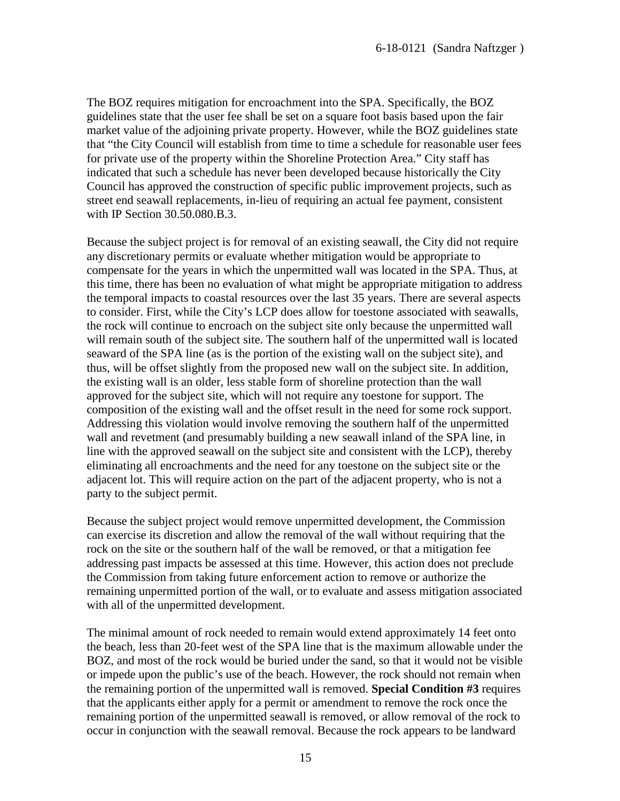The BOZ requires mitigation for encroachment into the SPA. Specifically, the BOZ guidelines state that the user fee shall be set on a square foot basis based upon the fair market value of the adjoining private property. However, while the BOZ guidelines state that "the City Council will establish from time to time a schedule for reasonable user fees for private use of the property within the Shoreline Protection Area." City staff has indicated that such a schedule has never been developed because historically the City Council has approved the construction of specific public improvement projects, such as street end seawall replacements, in-lieu of requiring an actual fee payment, consistent with IP Section 30.50.080.B.3.

Because the subject project is for removal of an existing seawall, the City did not require any discretionary permits or evaluate whether mitigation would be appropriate to compensate for the years in which the unpermitted wall was located in the SPA. Thus, at this time, there has been no evaluation of what might be appropriate mitigation to address the temporal impacts to coastal resources over the last 35 years. There are several aspects to consider. First, while the City's LCP does allow for toestone associated with seawalls, the rock will continue to encroach on the subject site only because the unpermitted wall will remain south of the subject site. The southern half of the unpermitted wall is located seaward of the SPA line (as is the portion of the existing wall on the subject site), and thus, will be offset slightly from the proposed new wall on the subject site. In addition, the existing wall is an older, less stable form of shoreline protection than the wall approved for the subject site, which will not require any toestone for support. The composition of the existing wall and the offset result in the need for some rock support. Addressing this violation would involve removing the southern half of the unpermitted wall and revetment (and presumably building a new seawall inland of the SPA line, in line with the approved seawall on the subject site and consistent with the LCP), thereby eliminating all encroachments and the need for any toestone on the subject site or the adjacent lot. This will require action on the part of the adjacent property, who is not a party to the subject permit.

Because the subject project would remove unpermitted development, the Commission can exercise its discretion and allow the removal of the wall without requiring that the rock on the site or the southern half of the wall be removed, or that a mitigation fee addressing past impacts be assessed at this time. However, this action does not preclude the Commission from taking future enforcement action to remove or authorize the remaining unpermitted portion of the wall, or to evaluate and assess mitigation associated with all of the unpermitted development.

The minimal amount of rock needed to remain would extend approximately 14 feet onto the beach, less than 20-feet west of the SPA line that is the maximum allowable under the BOZ, and most of the rock would be buried under the sand, so that it would not be visible or impede upon the public's use of the beach. However, the rock should not remain when the remaining portion of the unpermitted wall is removed. **Special Condition #3** requires that the applicants either apply for a permit or amendment to remove the rock once the remaining portion of the unpermitted seawall is removed, or allow removal of the rock to occur in conjunction with the seawall removal. Because the rock appears to be landward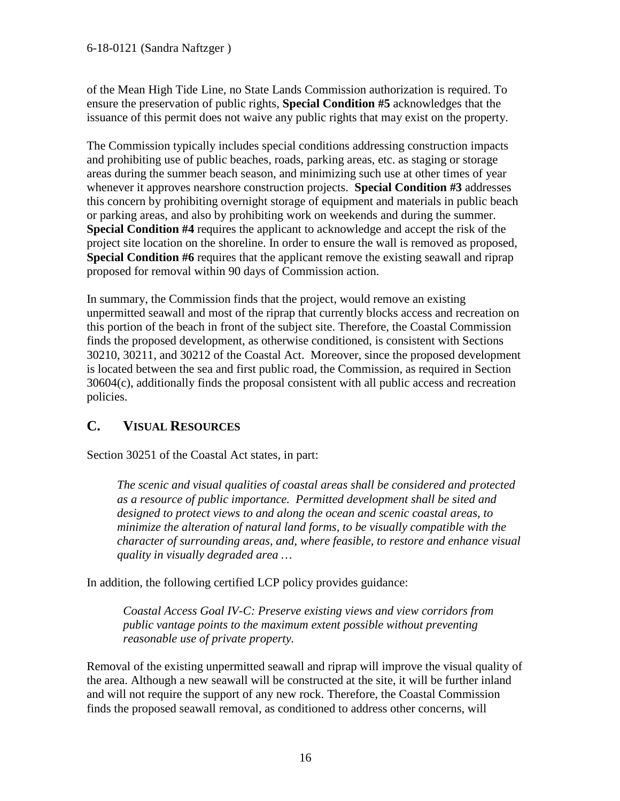of the Mean High Tide Line, no State Lands Commission authorization is required. To ensure the preservation of public rights, **Special Condition #5** acknowledges that the issuance of this permit does not waive any public rights that may exist on the property.

The Commission typically includes special conditions addressing construction impacts and prohibiting use of public beaches, roads, parking areas, etc. as staging or storage areas during the summer beach season, and minimizing such use at other times of year whenever it approves nearshore construction projects. **Special Condition #3** addresses this concern by prohibiting overnight storage of equipment and materials in public beach or parking areas, and also by prohibiting work on weekends and during the summer. **Special Condition #4** requires the applicant to acknowledge and accept the risk of the project site location on the shoreline. In order to ensure the wall is removed as proposed, **Special Condition #6** requires that the applicant remove the existing seawall and riprap proposed for removal within 90 days of Commission action.

In summary, the Commission finds that the project, would remove an existing unpermitted seawall and most of the riprap that currently blocks access and recreation on this portion of the beach in front of the subject site. Therefore, the Coastal Commission finds the proposed development, as otherwise conditioned, is consistent with Sections 30210, 30211, and 30212 of the Coastal Act. Moreover, since the proposed development is located between the sea and first public road, the Commission, as required in Section 30604(c), additionally finds the proposal consistent with all public access and recreation policies.

## <span id="page-15-0"></span>**C. VISUAL RESOURCES**

Section 30251 of the Coastal Act states, in part:

*The scenic and visual qualities of coastal areas shall be considered and protected as a resource of public importance. Permitted development shall be sited and designed to protect views to and along the ocean and scenic coastal areas, to minimize the alteration of natural land forms, to be visually compatible with the character of surrounding areas, and, where feasible, to restore and enhance visual quality in visually degraded area …* 

In addition, the following certified LCP policy provides guidance:

*Coastal Access Goal IV-C: Preserve existing views and view corridors from public vantage points to the maximum extent possible without preventing reasonable use of private property.*

Removal of the existing unpermitted seawall and riprap will improve the visual quality of the area. Although a new seawall will be constructed at the site, it will be further inland and will not require the support of any new rock. Therefore, the Coastal Commission finds the proposed seawall removal, as conditioned to address other concerns, will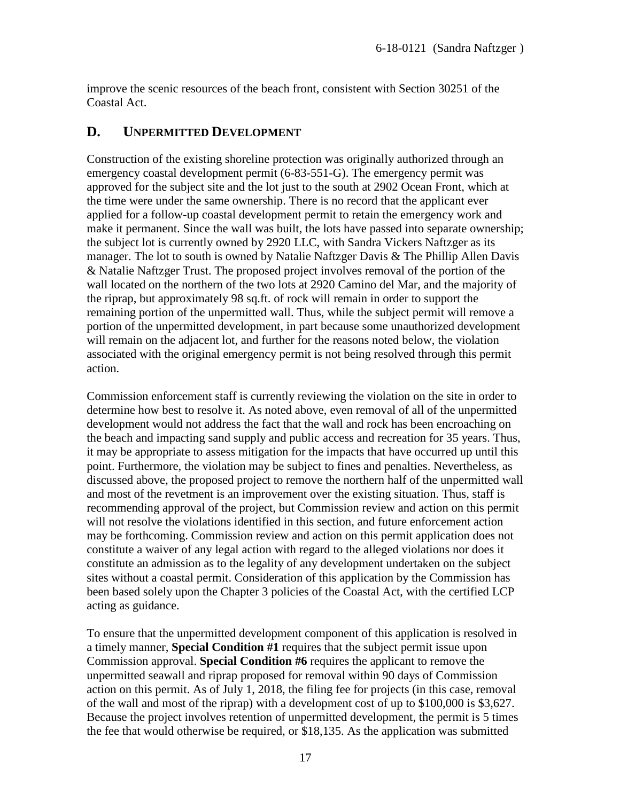improve the scenic resources of the beach front, consistent with Section 30251 of the Coastal Act.

## <span id="page-16-0"></span>**D. UNPERMITTED DEVELOPMENT**

Construction of the existing shoreline protection was originally authorized through an emergency coastal development permit (6-83-551-G). The emergency permit was approved for the subject site and the lot just to the south at 2902 Ocean Front, which at the time were under the same ownership. There is no record that the applicant ever applied for a follow-up coastal development permit to retain the emergency work and make it permanent. Since the wall was built, the lots have passed into separate ownership; the subject lot is currently owned by 2920 LLC, with Sandra Vickers Naftzger as its manager. The lot to south is owned by Natalie Naftzger Davis & The Phillip Allen Davis & Natalie Naftzger Trust. The proposed project involves removal of the portion of the wall located on the northern of the two lots at 2920 Camino del Mar, and the majority of the riprap, but approximately 98 sq.ft. of rock will remain in order to support the remaining portion of the unpermitted wall. Thus, while the subject permit will remove a portion of the unpermitted development, in part because some unauthorized development will remain on the adjacent lot, and further for the reasons noted below, the violation associated with the original emergency permit is not being resolved through this permit action.

Commission enforcement staff is currently reviewing the violation on the site in order to determine how best to resolve it. As noted above, even removal of all of the unpermitted development would not address the fact that the wall and rock has been encroaching on the beach and impacting sand supply and public access and recreation for 35 years. Thus, it may be appropriate to assess mitigation for the impacts that have occurred up until this point. Furthermore, the violation may be subject to fines and penalties. Nevertheless, as discussed above, the proposed project to remove the northern half of the unpermitted wall and most of the revetment is an improvement over the existing situation. Thus, staff is recommending approval of the project, but Commission review and action on this permit will not resolve the violations identified in this section, and future enforcement action may be forthcoming. Commission review and action on this permit application does not constitute a waiver of any legal action with regard to the alleged violations nor does it constitute an admission as to the legality of any development undertaken on the subject sites without a coastal permit. Consideration of this application by the Commission has been based solely upon the Chapter 3 policies of the Coastal Act, with the certified LCP acting as guidance.

To ensure that the unpermitted development component of this application is resolved in a timely manner, **Special Condition #1** requires that the subject permit issue upon Commission approval. **Special Condition #6** requires the applicant to remove the unpermitted seawall and riprap proposed for removal within 90 days of Commission action on this permit. As of July 1, 2018, the filing fee for projects (in this case, removal of the wall and most of the riprap) with a development cost of up to \$100,000 is \$3,627. Because the project involves retention of unpermitted development, the permit is 5 times the fee that would otherwise be required, or \$18,135. As the application was submitted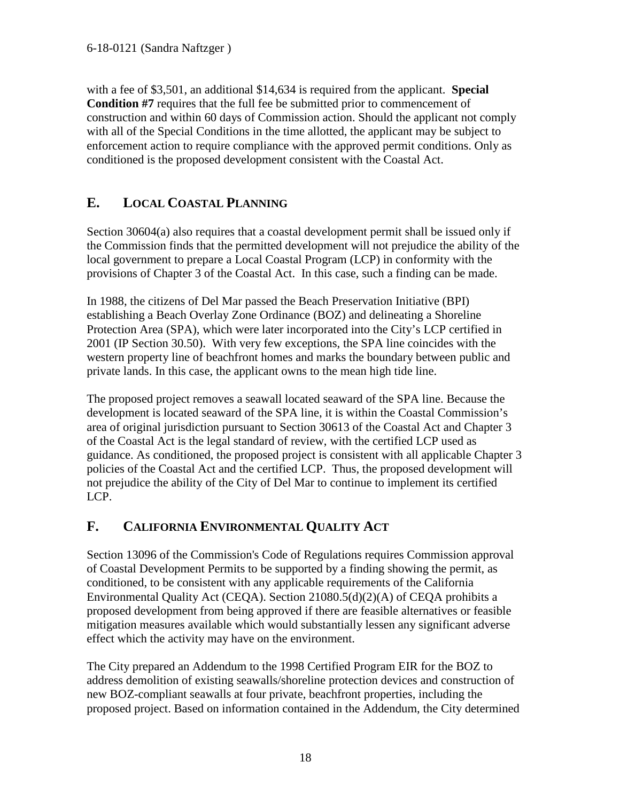with a fee of \$3,501, an additional \$14,634 is required from the applicant. **Special Condition #7** requires that the full fee be submitted prior to commencement of construction and within 60 days of Commission action. Should the applicant not comply with all of the Special Conditions in the time allotted, the applicant may be subject to enforcement action to require compliance with the approved permit conditions. Only as conditioned is the proposed development consistent with the Coastal Act.

# <span id="page-17-0"></span>**E. LOCAL COASTAL PLANNING**

Section 30604(a) also requires that a coastal development permit shall be issued only if the Commission finds that the permitted development will not prejudice the ability of the local government to prepare a Local Coastal Program (LCP) in conformity with the provisions of Chapter 3 of the Coastal Act. In this case, such a finding can be made.

In 1988, the citizens of Del Mar passed the Beach Preservation Initiative (BPI) establishing a Beach Overlay Zone Ordinance (BOZ) and delineating a Shoreline Protection Area (SPA), which were later incorporated into the City's LCP certified in 2001 (IP Section 30.50). With very few exceptions, the SPA line coincides with the western property line of beachfront homes and marks the boundary between public and private lands. In this case, the applicant owns to the mean high tide line.

The proposed project removes a seawall located seaward of the SPA line. Because the development is located seaward of the SPA line, it is within the Coastal Commission's area of original jurisdiction pursuant to Section 30613 of the Coastal Act and Chapter 3 of the Coastal Act is the legal standard of review, with the certified LCP used as guidance. As conditioned, the proposed project is consistent with all applicable Chapter 3 policies of the Coastal Act and the certified LCP. Thus, the proposed development will not prejudice the ability of the City of Del Mar to continue to implement its certified LCP.

# <span id="page-17-1"></span>**F. CALIFORNIA ENVIRONMENTAL QUALITY ACT**

Section 13096 of the Commission's Code of Regulations requires Commission approval of Coastal Development Permits to be supported by a finding showing the permit, as conditioned, to be consistent with any applicable requirements of the California Environmental Quality Act (CEQA). Section 21080.5(d)(2)(A) of CEQA prohibits a proposed development from being approved if there are feasible alternatives or feasible mitigation measures available which would substantially lessen any significant adverse effect which the activity may have on the environment.

The City prepared an Addendum to the 1998 Certified Program EIR for the BOZ to address demolition of existing seawalls/shoreline protection devices and construction of new BOZ-compliant seawalls at four private, beachfront properties, including the proposed project. Based on information contained in the Addendum, the City determined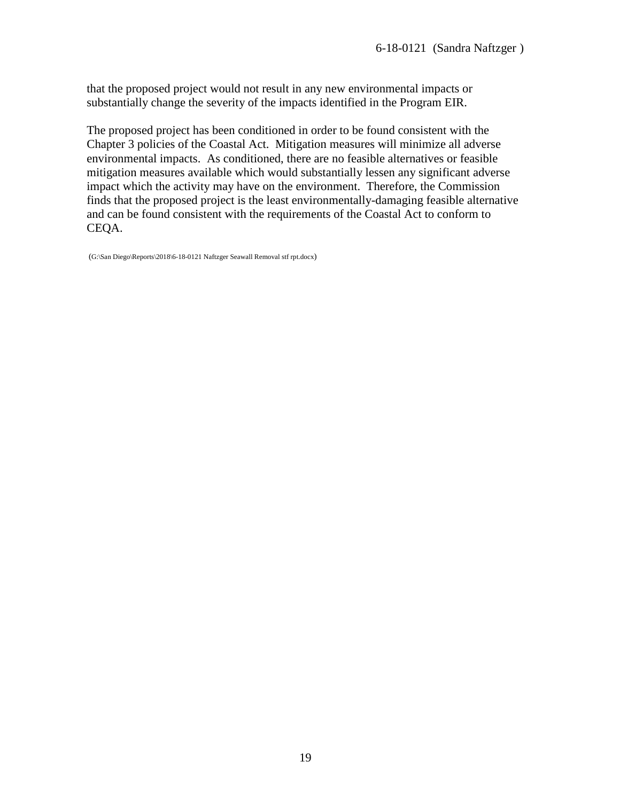that the proposed project would not result in any new environmental impacts or substantially change the severity of the impacts identified in the Program EIR.

The proposed project has been conditioned in order to be found consistent with the Chapter 3 policies of the Coastal Act. Mitigation measures will minimize all adverse environmental impacts. As conditioned, there are no feasible alternatives or feasible mitigation measures available which would substantially lessen any significant adverse impact which the activity may have on the environment. Therefore, the Commission finds that the proposed project is the least environmentally-damaging feasible alternative and can be found consistent with the requirements of the Coastal Act to conform to CEQA.

(G:\San Diego\Reports\2018\6-18-0121 Naftzger Seawall Removal stf rpt.docx)